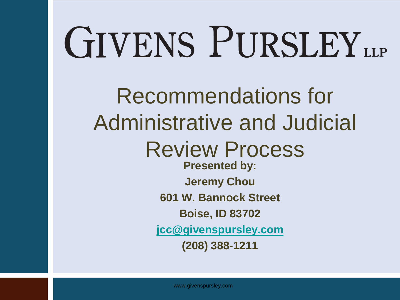# GIVENS PURSLEY LLP

Recommendations for Administrative and Judicial Review Process **Presented by: Jeremy Chou 601 W. Bannock Street Boise, ID 83702 [jcc@givenspursley.com](mailto:dkk@givenspursley.com) (208) 388-1211**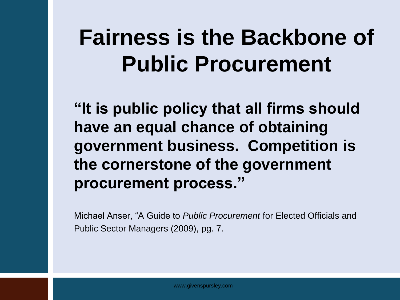#### **Fairness is the Backbone of Public Procurement**

**"It is public policy that all firms should have an equal chance of obtaining government business. Competition is the cornerstone of the government procurement process."**

Michael Anser, "A Guide to *Public Procurement* for Elected Officials and Public Sector Managers (2009), pg. 7.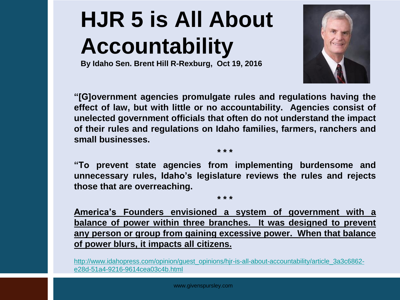### **HJR 5 is All About Accountability**

**By Idaho Sen. Brent Hill R-Rexburg, Oct 19, 2016**



**"[G]overnment agencies promulgate rules and regulations having the effect of law, but with little or no accountability. Agencies consist of unelected government officials that often do not understand the impact of their rules and regulations on Idaho families, farmers, ranchers and small businesses.** 

**"To prevent state agencies from implementing burdensome and unnecessary rules, Idaho's legislature reviews the rules and rejects those that are overreaching.**

**\* \* \***

**\* \* \*** 

**America's Founders envisioned a system of government with a balance of power within three branches. It was designed to prevent any person or group from gaining excessive power. When that balance of power blurs, it impacts all citizens.**

http://www.idahopress.com/opinion/quest\_opinions/hjr-is-all-about-accountability/article\_3a3c6862[e28d-51a4-9216-9614cea03c4b.html](http://www.idahopress.com/opinion/guest_opinions/hjr-is-all-about-accountability/article_3a3c6862-e28d-51a4-9216-9614cea03c4b.html)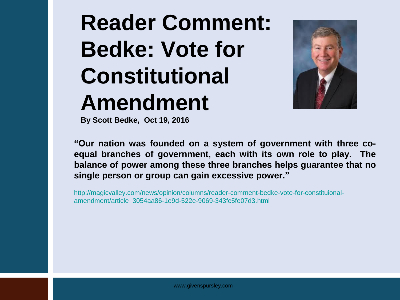#### **Reader Comment: Bedke: Vote for Constitutional Amendment**



**By Scott Bedke, Oct 19, 2016**

**"Our nation was founded on a system of government with three coequal branches of government, each with its own role to play. The balance of power among these three branches helps guarantee that no single person or group can gain excessive power."**

[http://magicvalley.com/news/opinion/columns/reader-comment-bedke-vote-for-constituional](http://magicvalley.com/news/opinion/columns/reader-comment-bedke-vote-for-constituional-amendment/article_3054aa86-1e9d-522e-9069-343fc5fe07d3.html)[amendment/article\\_3054aa86-1e9d-522e-9069-343fc5fe07d3.html](http://magicvalley.com/news/opinion/columns/reader-comment-bedke-vote-for-constituional-amendment/article_3054aa86-1e9d-522e-9069-343fc5fe07d3.html)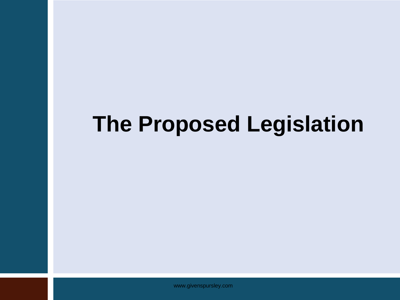#### **The Proposed Legislation**

www.givenspursley.com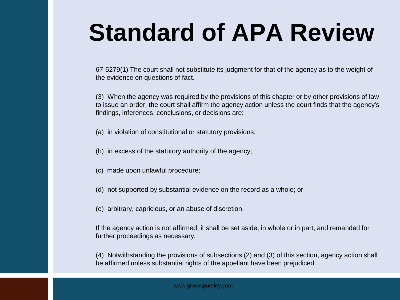## **Standard of APA Review**

67-5279(1) The court shall not substitute its judgment for that of the agency as to the weight of the evidence on questions of fact.

(3) When the agency was required by the provisions of this chapter or by other provisions of law to issue an order, the court shall affirm the agency action unless the court finds that the agency's findings, inferences, conclusions, or decisions are:

- (a) in violation of constitutional or statutory provisions;
- (b) in excess of the statutory authority of the agency;
- (c) made upon unlawful procedure;
- (d) not supported by substantial evidence on the record as a whole; or
- (e) arbitrary, capricious, or an abuse of discretion.

If the agency action is not affirmed, it shall be set aside, in whole or in part, and remanded for further proceedings as necessary.

(4) Notwithstanding the provisions of subsections (2) and (3) of this section, agency action shall be affirmed unless substantial rights of the appellant have been prejudiced.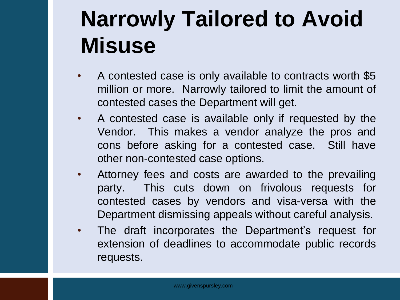#### **Narrowly Tailored to Avoid Misuse**

- A contested case is only available to contracts worth \$5 million or more. Narrowly tailored to limit the amount of contested cases the Department will get.
- A contested case is available only if requested by the Vendor. This makes a vendor analyze the pros and cons before asking for a contested case. Still have other non-contested case options.
- Attorney fees and costs are awarded to the prevailing party. This cuts down on frivolous requests for contested cases by vendors and visa-versa with the Department dismissing appeals without careful analysis.
- The draft incorporates the Department's request for extension of deadlines to accommodate public records requests.